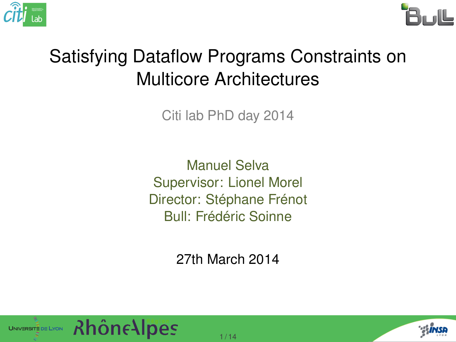



#### Satisfying Dataflow Programs Constraints on Multicore Architectures

Citi lab PhD day 2014

Manuel Selva Supervisor: Lionel Morel Director: Stéphane Frénot Bull: Frédéric Soinne

27th March 2014



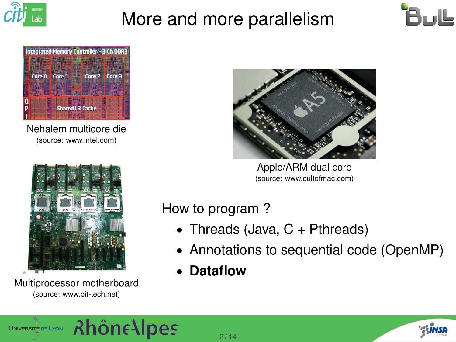

### More and more parallelism





Nehalem multicore die (source: www.intel.com)



Multiprocessor motherboard (source: www.bit-tech.net)



Apple/ARM dual core (source: www.cultofmac.com)

#### How to program ?

- Threads (Java,  $C +$  Pthreads)
- Annotations to sequential code (OpenMP)
- **Dataflow**



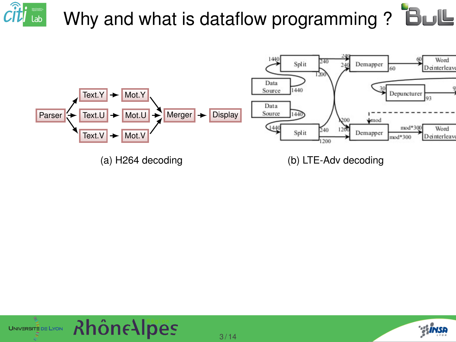#### $\hat{c}$ it $\left| \begin{smallmatrix} \cdot & \cdot & \cdot \end{smallmatrix} \right|$  lab Why and what is dataflow programming ? **BUL**





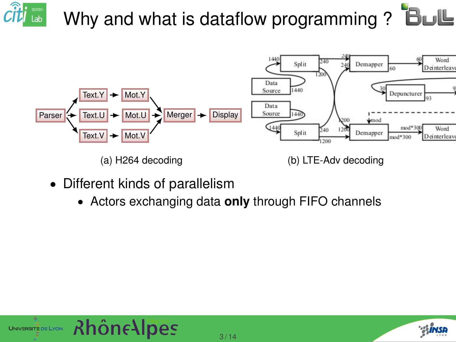

- Different kinds of parallelism
	- Actors exchanging data **only** through FIFO channels



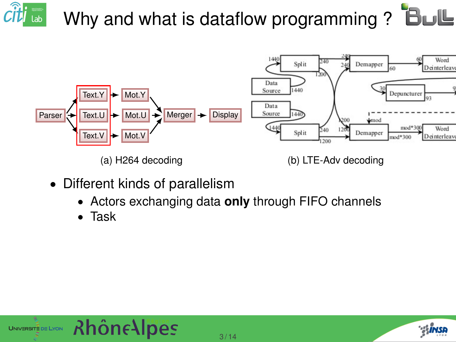

- Different kinds of parallelism
	- Actors exchanging data **only** through FIFO channels
	- Task



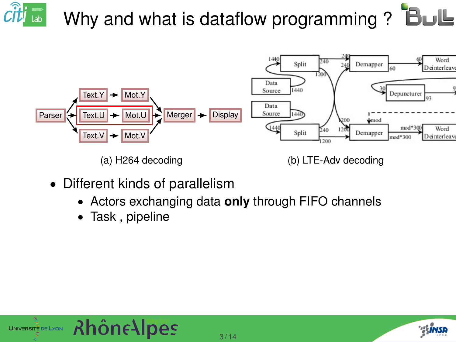

- Different kinds of parallelism
	- Actors exchanging data **only** through FIFO channels
	- Task , pipeline



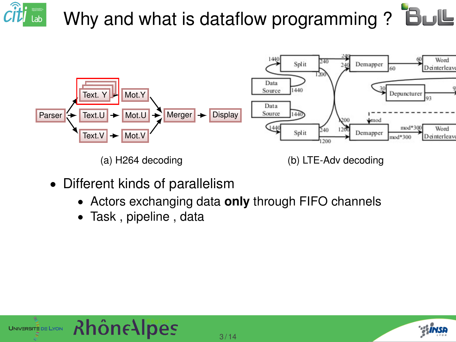

- Different kinds of parallelism
	- Actors exchanging data **only** through FIFO channels
	- Task , pipeline , data



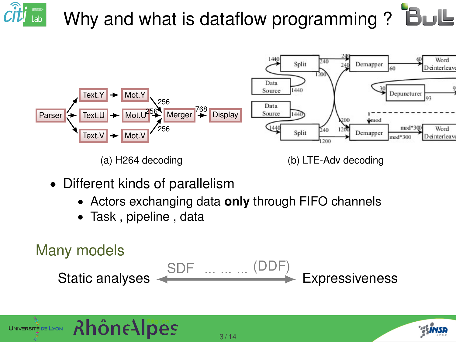

(a) H264 decoding (b) LTE-Adv decoding

- Different kinds of parallelism
	- Actors exchanging data **only** through FIFO channels
	- Task , pipeline , data

**Rhône Alpes** 

UNIVERSITE DE LYON

```
Many models
Static analyses \xleftarrow{\text{SDF}} \dots \dots \dots \dots (\text{DDF}) Expressiveness
```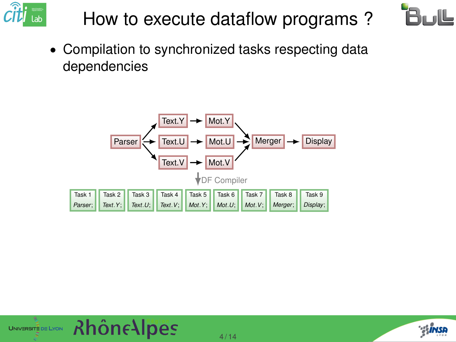

## How to execute dataflow programs ?



• Compilation to synchronized tasks respecting data dependencies





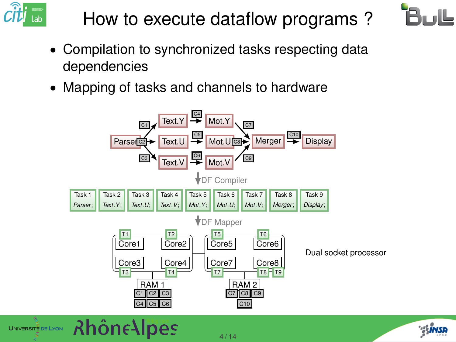

UNIVERSITE DE LYON

## How to execute dataflow programs ?



- Compilation to synchronized tasks respecting data dependencies
- Mapping of tasks and channels to hardware



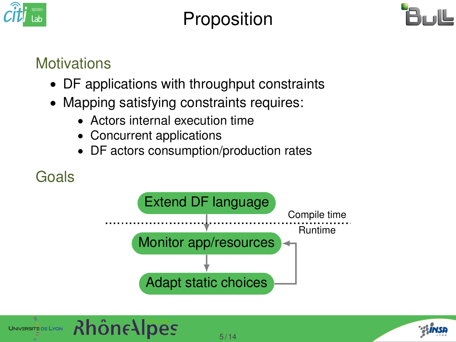

#### Proposition



#### **Motivations**

- DF applications with throughput constraints
- Mapping satisfying constraints requires:
	- Actors internal execution time
	- Concurrent applications
	- DF actors consumption/production rates

#### Goals





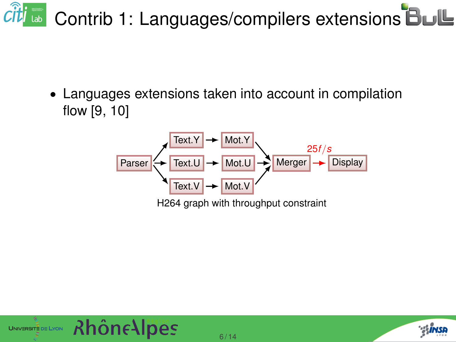## Citi **a** Contrib 1: Languages/compilers extensions

• Languages extensions taken into account in compilation flow [\[9,](#page-25-0) [10\]](#page-25-1)





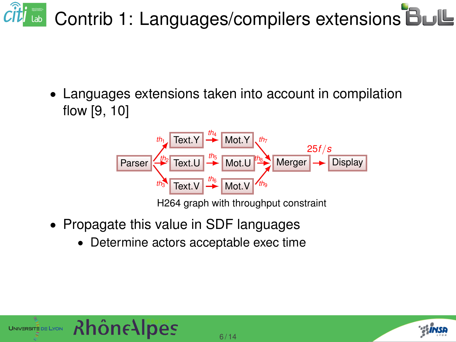## **a** Contrib 1: Languages/compilers extensions **BuL**

• Languages extensions taken into account in compilation flow [\[9,](#page-25-0) [10\]](#page-25-1)



- Propagate this value in SDF languages
	- Determine actors acceptable exec time



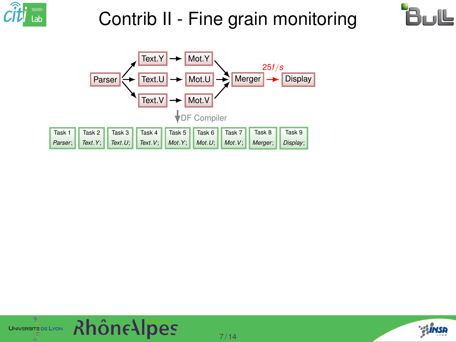







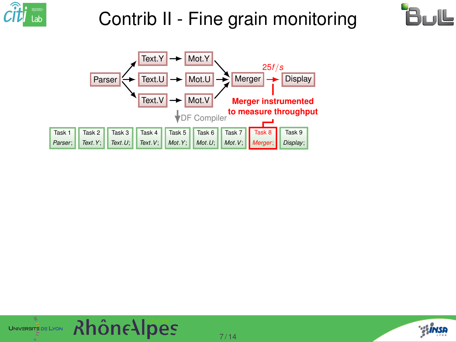







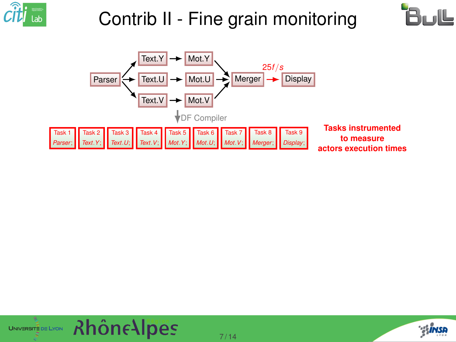







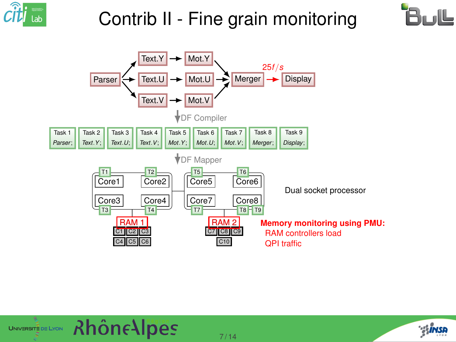







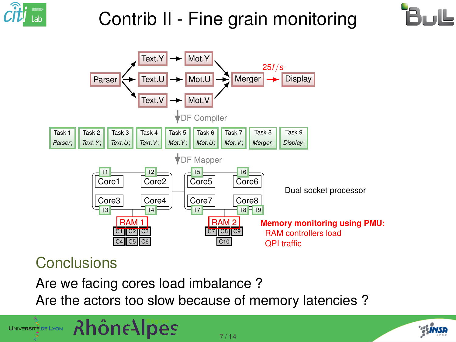





#### Conclusions

UNIVERSITE DE LYON

Are we facing cores load imbalance ?

**Rhône Alpes** 

Are the actors too slow because of memory latencies ?

7 / 14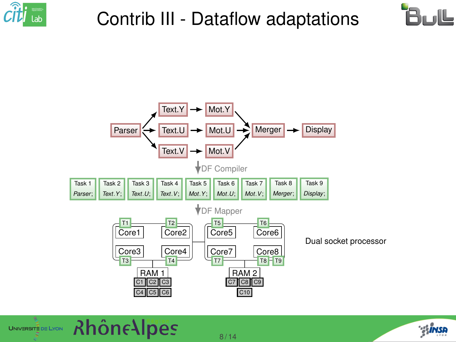

### Contrib III - Dataflow adaptations





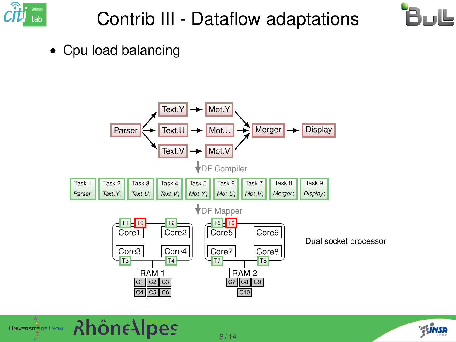

## Contrib III - Dataflow adaptations



• Cpu load balancing



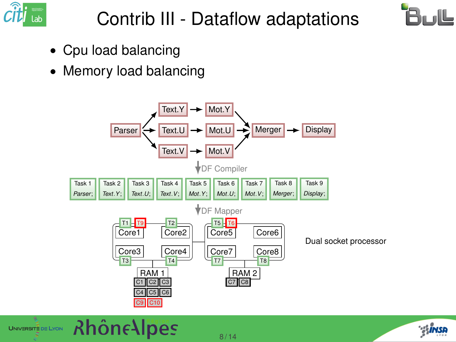

## Contrib III - Dataflow adaptations



- Cpu load balancing
- Memory load balancing





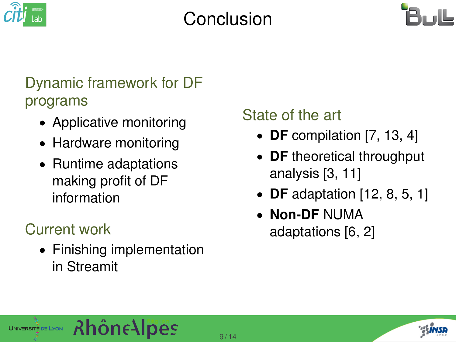

#### Conclusion



#### Dynamic framework for DF programs

- Applicative monitoring
- Hardware monitoring
- Runtime adaptations making profit of DF information

#### Current work

UNIVERSITE DE LYON

• Finishing implementation in Streamit

**Rhône Alpes** 

#### State of the art

- **DF** compilation [\[7,](#page-24-0) [13,](#page-26-0) [4\]](#page-23-0)
- **DF** theoretical throughput analysis [\[3,](#page-23-1) [11\]](#page-26-1)
- **DF** adaptation [\[12,](#page-26-2) [8,](#page-24-1) [5,](#page-23-2) [1\]](#page-22-0)
- **Non-DF** NUMA adaptations [\[6,](#page-24-2) [2\]](#page-22-1)

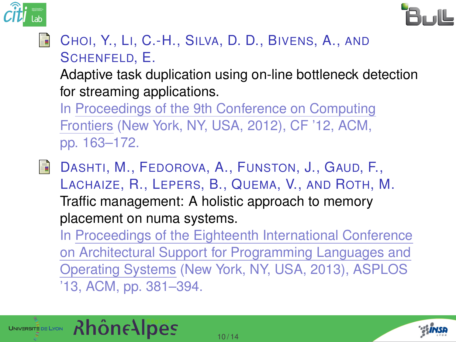



#### <span id="page-22-0"></span>CHOI, Y., LI, C.-H., SILVA, D. D., BIVENS, A., AND SCHENFELD, E.

Adaptive task duplication using on-line bottleneck detection for streaming applications.

In Proceedings of the 9th Conference on Computing Frontiers (New York, NY, USA, 2012), CF '12, ACM, pp. 163–172.

<span id="page-22-1"></span>DASHTI, M., FEDOROVA, A., FUNSTON, J., GAUD, F., 暈 LACHAIZE, R., LEPERS, B., QUEMA, V., AND ROTH, M. Traffic management: A holistic approach to memory placement on numa systems. In Proceedings of the Eighteenth International Conference on Architectural Support for Programming Languages and Operating Systems (New York, NY, USA, 2013), ASPLOS '13, ACM, pp. 381–394.



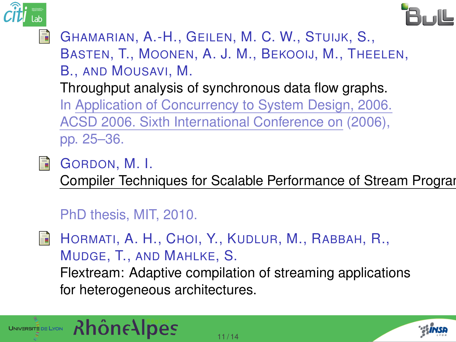



<span id="page-23-1"></span>GHAMARIAN, A.-H., GEILEN, M. C. W., STUIJK, S., BASTEN, T., MOONEN, A. J. M., BEKOOIJ, M., THEELEN,

B., AND MOUSAVI, M.

Throughput analysis of synchronous data flow graphs.

In Application of Concurrency to System Design, 2006. ACSD 2006. Sixth International Conference on (2006), pp. 25–36.

<span id="page-23-0"></span>

**A** GORDON, M. I.

Compiler Techniques for Scalable Performance of Stream Program

```
PhD thesis, MIT, 2010.
```
<span id="page-23-2"></span>HORMATI, A. H., CHOI, Y., KUDLUR, M., RABBAH, R., 5 MUDGE, T., AND MAHLKE, S. Flextream: Adaptive compilation of streaming applications for heterogeneous architectures.



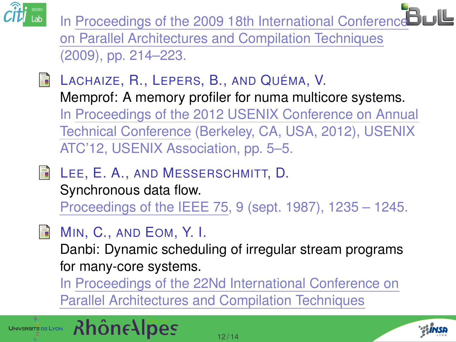

In Proceedings of the 2009 18th International Conference Bull on Parallel Architectures and Compilation Techniques (2009), pp. 214–223.

- <span id="page-24-2"></span>**LACHAIZE, R., LEPERS, B., AND QUÉMA, V.** Memprof: A memory profiler for numa multicore systems. In Proceedings of the 2012 USENIX Conference on Annual Technical Conference (Berkeley, CA, USA, 2012), USENIX ATC'12, USENIX Association, pp. 5–5.
- <span id="page-24-0"></span>**E** LEE, E. A., AND MESSERSCHMITT, D.

Synchronous data flow.

Proceedings of the IEEE 75, 9 (sept. 1987), 1235 – 1245.

#### <span id="page-24-1"></span>F. MIN, C., AND EOM, Y. I.

Danbi: Dynamic scheduling of irregular stream programs for many-core systems.

In Proceedings of the 22Nd International Conference on Parallel Architectures and Compilation Techniques



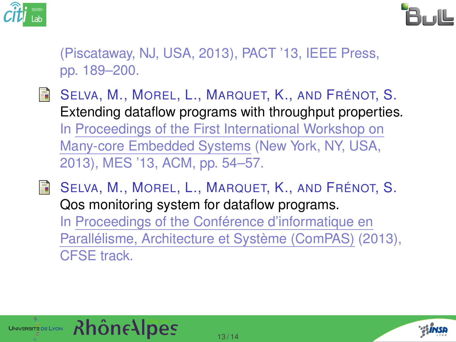



(Piscataway, NJ, USA, 2013), PACT '13, IEEE Press, pp. 189–200.

- <span id="page-25-0"></span>F SELVA, M., MOREL, L., MARQUET, K., AND FRÉNOT, S. Extending dataflow programs with throughput properties. In Proceedings of the First International Workshop on Many-core Embedded Systems (New York, NY, USA, 2013), MES '13, ACM, pp. 54–57.
- <span id="page-25-1"></span>F SELVA, M., MOREL, L., MARQUET, K., AND FRÉNOT, S. Qos monitoring system for dataflow programs. In Proceedings of the Conférence d'informatique en Parallélisme, Architecture et Système (ComPAS) (2013), CFSE track.